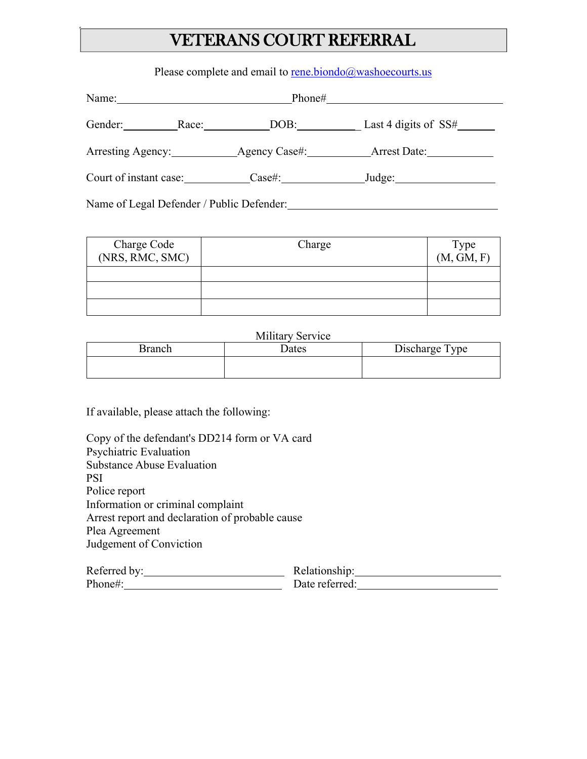## VETERANS COURT REFERRAL

Please complete and email to [rene.biondo@washoecourts.us](mailto:rene.biondo@washoecourts.us)

| Name:                                     | Phone# |                        |  |
|-------------------------------------------|--------|------------------------|--|
| Gender:<br>Race:                          | DOB:   | Last 4 digits of $SS#$ |  |
| Arresting Agency: Agency Case#:           |        | Arrest Date:           |  |
| Court of instant case:                    | Case#: | _Judge: $\_\_$         |  |
| Name of Legal Defender / Public Defender: |        |                        |  |

| Charge Code<br>(NRS, RMC, SMC) | Charge | Type<br>(M, GM, F) |
|--------------------------------|--------|--------------------|
|                                |        |                    |
|                                |        |                    |
|                                |        |                    |

Military Service

| Branch | <b>Dates</b> | Discharge Type |
|--------|--------------|----------------|
|        |              |                |

If available, please attach the following:

| Copy of the defendant's DD214 form or VA card   |               |  |
|-------------------------------------------------|---------------|--|
| Psychiatric Evaluation                          |               |  |
| <b>Substance Abuse Evaluation</b>               |               |  |
| PSI                                             |               |  |
| Police report                                   |               |  |
| Information or criminal complaint               |               |  |
| Arrest report and declaration of probable cause |               |  |
| Plea Agreement                                  |               |  |
| Judgement of Conviction                         |               |  |
| Referred hv:                                    | Relationshin: |  |

| Referred by: | Relationship:  |
|--------------|----------------|
| Phone#:      | Date referred: |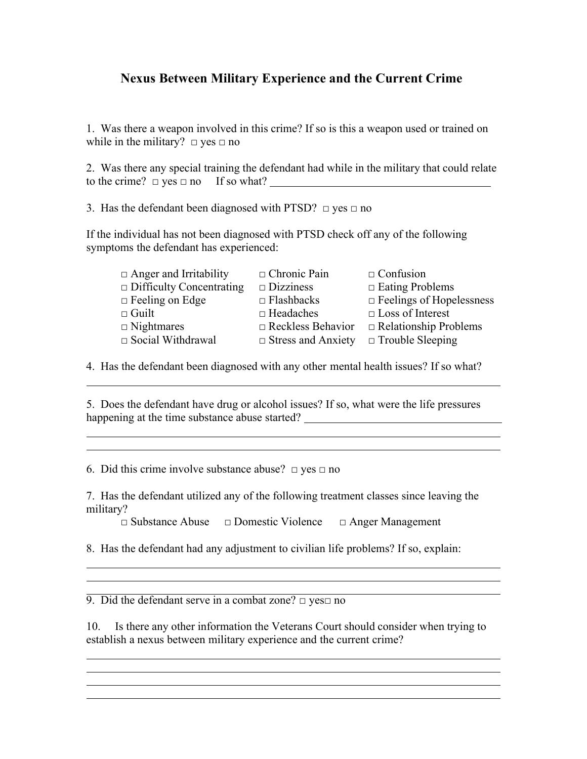## **Nexus Between Military Experience and the Current Crime**

1. Was there a weapon involved in this crime? If so is this a weapon used or trained on while in the military?  $\Box$  yes  $\Box$  no

2. Was there any special training the defendant had while in the military that could relate to the crime?  $\Box$  yes  $\Box$  no If so what?

3. Has the defendant been diagnosed with PTSD?  $\Box$  yes  $\Box$  no

If the individual has not been diagnosed with PTSD check off any of the following symptoms the defendant has experienced:

| $\Box$ Anger and Irritability   | $\Box$ Chronic Pain       | $\Box$ Confusion                |
|---------------------------------|---------------------------|---------------------------------|
| $\Box$ Difficulty Concentrating | $\square$ Dizziness       | $\Box$ Eating Problems          |
| $\Box$ Feeling on Edge          | $\Box$ Flashbacks         | $\Box$ Feelings of Hopelessness |
| $\Box$ Guilt                    | $\Box$ Headaches          | $\Box$ Loss of Interest         |
| $\Box$ Nightmares               | $\Box$ Reckless Behavior  | $\Box$ Relationship Problems    |
| $\Box$ Social Withdrawal        | $\Box$ Stress and Anxiety | $\Box$ Trouble Sleeping         |
|                                 |                           |                                 |

4. Has the defendant been diagnosed with any other mental health issues? If so what?

5. Does the defendant have drug or alcohol issues? If so, what were the life pressures happening at the time substance abuse started? \_\_\_\_\_\_\_\_\_\_\_\_\_\_\_\_\_\_\_\_\_\_\_\_\_\_\_\_\_\_\_\_\_\_

6. Did this crime involve substance abuse?  $\Box$  yes  $\Box$  no

7. Has the defendant utilized any of the following treatment classes since leaving the military?

□ Substance Abuse □ Domestic Violence □ Anger Management

8. Has the defendant had any adjustment to civilian life problems? If so, explain:

9. Did the defendant serve in a combat zone?  $\Box$  yes $\Box$  no

10. Is there any other information the Veterans Court should consider when trying to establish a nexus between military experience and the current crime?

and the state of the state of the state of the state of the state of the state of the state of the state of the